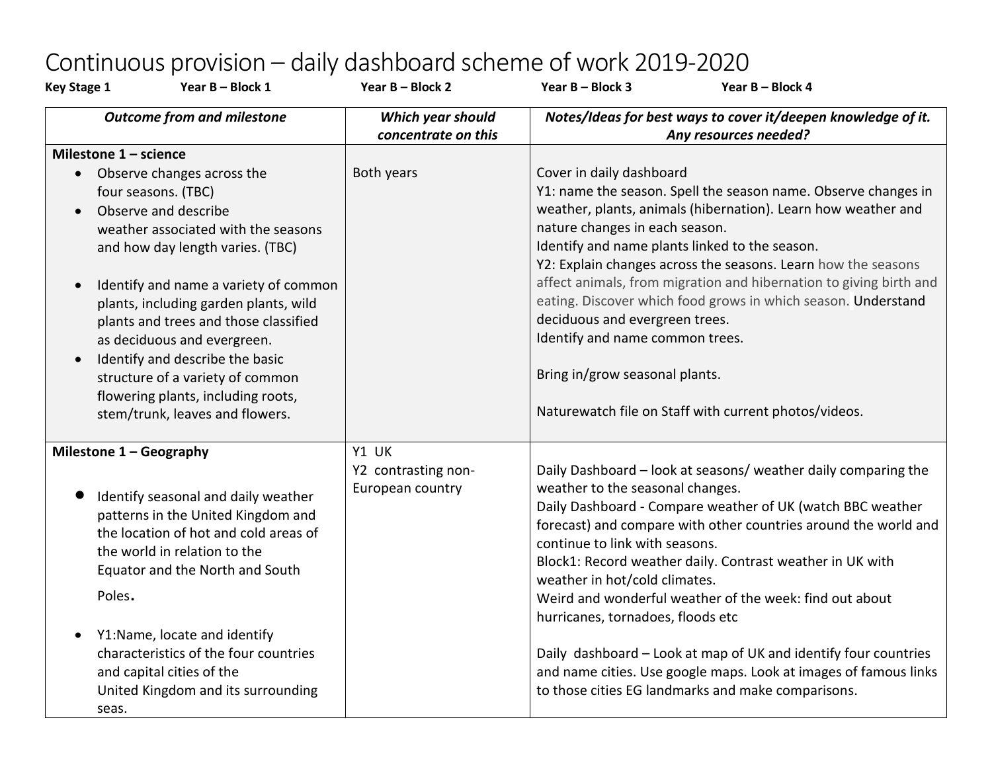## Continuous provision – daily dashboard scheme of work 2019-2020

| <b>Key Stage 1</b>                  | Year B - Block 1                                                                                                                                                                                                                                                                                                                                                                                                                                                 | Year B - Block 2                                 | Year B - Block 3                                                                                                                                                                                                    | Year B - Block 4                                                                                                                                                                                                                                                                                                                                                                                 |
|-------------------------------------|------------------------------------------------------------------------------------------------------------------------------------------------------------------------------------------------------------------------------------------------------------------------------------------------------------------------------------------------------------------------------------------------------------------------------------------------------------------|--------------------------------------------------|---------------------------------------------------------------------------------------------------------------------------------------------------------------------------------------------------------------------|--------------------------------------------------------------------------------------------------------------------------------------------------------------------------------------------------------------------------------------------------------------------------------------------------------------------------------------------------------------------------------------------------|
|                                     | <b>Outcome from and milestone</b>                                                                                                                                                                                                                                                                                                                                                                                                                                | Which year should<br>concentrate on this         |                                                                                                                                                                                                                     | Notes/Ideas for best ways to cover it/deepen knowledge of it.<br>Any resources needed?                                                                                                                                                                                                                                                                                                           |
| Milestone $1 -$ science             |                                                                                                                                                                                                                                                                                                                                                                                                                                                                  |                                                  |                                                                                                                                                                                                                     |                                                                                                                                                                                                                                                                                                                                                                                                  |
| $\bullet$<br>$\bullet$              | • Observe changes across the<br>four seasons. (TBC)<br>Observe and describe<br>weather associated with the seasons<br>and how day length varies. (TBC)<br>Identify and name a variety of common<br>plants, including garden plants, wild<br>plants and trees and those classified<br>as deciduous and evergreen.<br>Identify and describe the basic<br>structure of a variety of common<br>flowering plants, including roots,<br>stem/trunk, leaves and flowers. | Both years                                       | Cover in daily dashboard<br>nature changes in each season.<br>Identify and name plants linked to the season.<br>deciduous and evergreen trees.<br>Identify and name common trees.<br>Bring in/grow seasonal plants. | Y1: name the season. Spell the season name. Observe changes in<br>weather, plants, animals (hibernation). Learn how weather and<br>Y2: Explain changes across the seasons. Learn how the seasons<br>affect animals, from migration and hibernation to giving birth and<br>eating. Discover which food grows in which season. Understand<br>Naturewatch file on Staff with current photos/videos. |
| Milestone $1 - Geography$<br>Poles. | Identify seasonal and daily weather<br>patterns in the United Kingdom and<br>the location of hot and cold areas of<br>the world in relation to the<br>Equator and the North and South<br>Y1:Name, locate and identify<br>characteristics of the four countries                                                                                                                                                                                                   | Y1 UK<br>Y2 contrasting non-<br>European country | weather to the seasonal changes.<br>continue to link with seasons.<br>weather in hot/cold climates.<br>hurricanes, tornadoes, floods etc                                                                            | Daily Dashboard - look at seasons/ weather daily comparing the<br>Daily Dashboard - Compare weather of UK (watch BBC weather<br>forecast) and compare with other countries around the world and<br>Block1: Record weather daily. Contrast weather in UK with<br>Weird and wonderful weather of the week: find out about<br>Daily dashboard - Look at map of UK and identify four countries       |
| seas.                               | and capital cities of the<br>United Kingdom and its surrounding                                                                                                                                                                                                                                                                                                                                                                                                  |                                                  |                                                                                                                                                                                                                     | and name cities. Use google maps. Look at images of famous links<br>to those cities EG landmarks and make comparisons.                                                                                                                                                                                                                                                                           |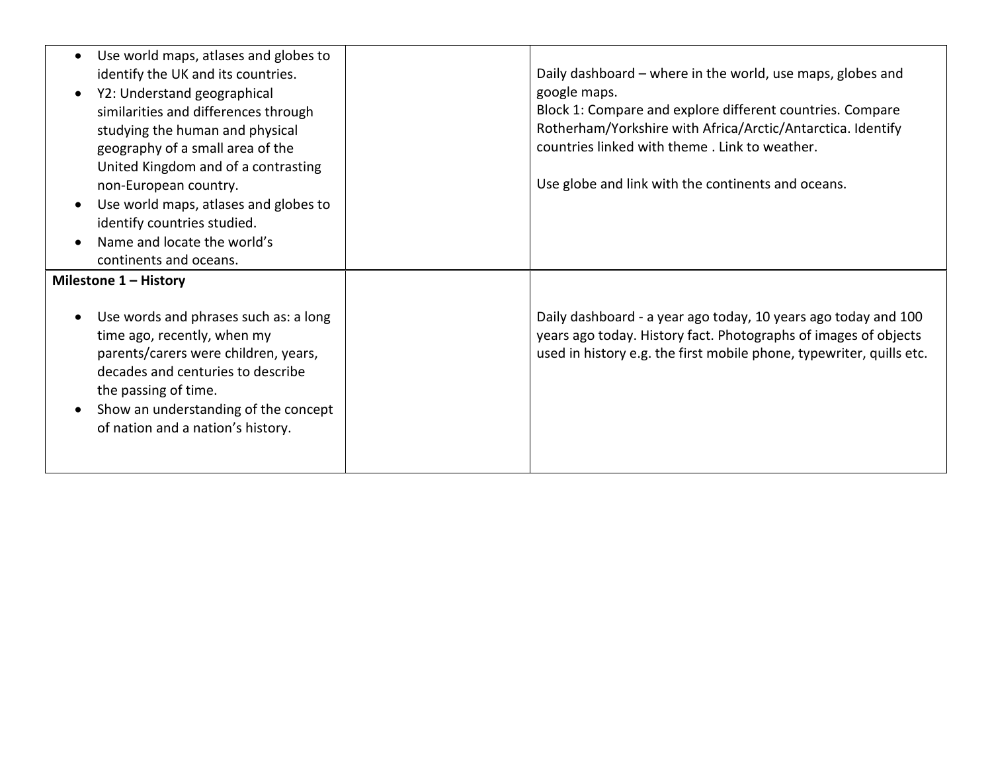| Use world maps, atlases and globes to<br>identify the UK and its countries.<br>Y2: Understand geographical<br>similarities and differences through<br>studying the human and physical<br>geography of a small area of the<br>United Kingdom and of a contrasting<br>non-European country.<br>Use world maps, atlases and globes to<br>identify countries studied.<br>Name and locate the world's<br>continents and oceans. | Daily dashboard – where in the world, use maps, globes and<br>google maps.<br>Block 1: Compare and explore different countries. Compare<br>Rotherham/Yorkshire with Africa/Arctic/Antarctica. Identify<br>countries linked with theme. Link to weather.<br>Use globe and link with the continents and oceans. |
|----------------------------------------------------------------------------------------------------------------------------------------------------------------------------------------------------------------------------------------------------------------------------------------------------------------------------------------------------------------------------------------------------------------------------|---------------------------------------------------------------------------------------------------------------------------------------------------------------------------------------------------------------------------------------------------------------------------------------------------------------|
| Milestone 1 - History<br>Use words and phrases such as: a long<br>time ago, recently, when my<br>parents/carers were children, years,<br>decades and centuries to describe<br>the passing of time.<br>Show an understanding of the concept<br>of nation and a nation's history.                                                                                                                                            | Daily dashboard - a year ago today, 10 years ago today and 100<br>years ago today. History fact. Photographs of images of objects<br>used in history e.g. the first mobile phone, typewriter, quills etc.                                                                                                     |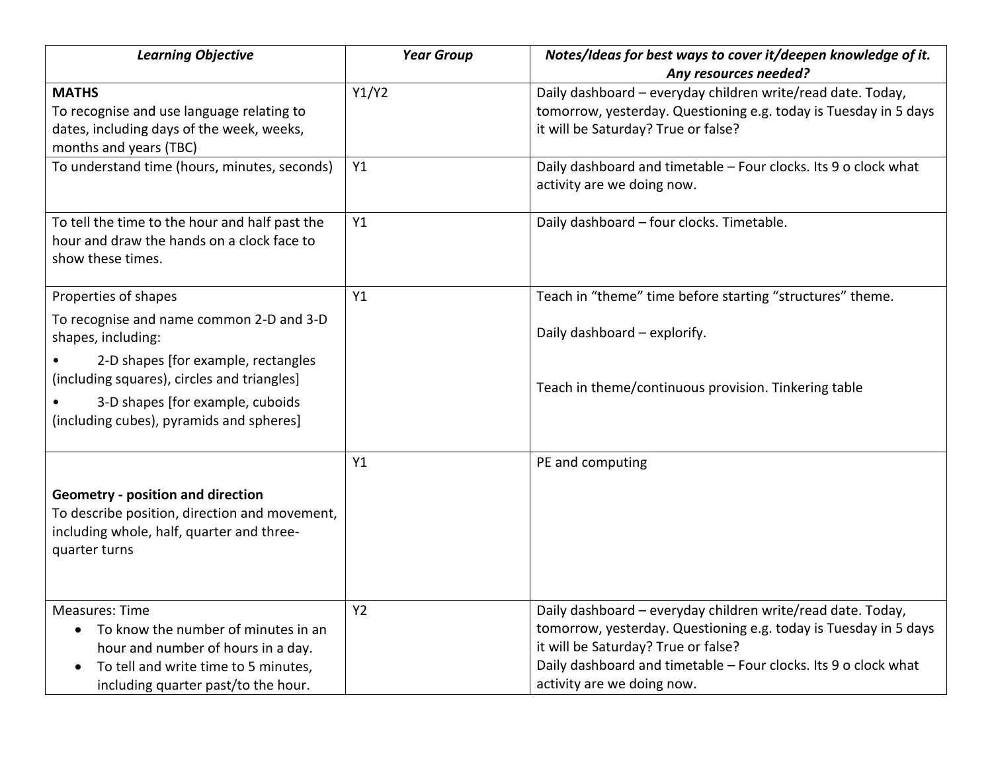| <b>Learning Objective</b>                                                                                                                                                                                                                                    | <b>Year Group</b> | Notes/Ideas for best ways to cover it/deepen knowledge of it.<br>Any resources needed?                                                                                                                                                                                  |
|--------------------------------------------------------------------------------------------------------------------------------------------------------------------------------------------------------------------------------------------------------------|-------------------|-------------------------------------------------------------------------------------------------------------------------------------------------------------------------------------------------------------------------------------------------------------------------|
| <b>MATHS</b><br>To recognise and use language relating to<br>dates, including days of the week, weeks,<br>months and years (TBC)                                                                                                                             | Y1/Y2             | Daily dashboard - everyday children write/read date. Today,<br>tomorrow, yesterday. Questioning e.g. today is Tuesday in 5 days<br>it will be Saturday? True or false?                                                                                                  |
| To understand time (hours, minutes, seconds)                                                                                                                                                                                                                 | Y1                | Daily dashboard and timetable - Four clocks. Its 9 o clock what<br>activity are we doing now.                                                                                                                                                                           |
| To tell the time to the hour and half past the<br>hour and draw the hands on a clock face to<br>show these times.                                                                                                                                            | Y1                | Daily dashboard - four clocks. Timetable.                                                                                                                                                                                                                               |
| Properties of shapes<br>To recognise and name common 2-D and 3-D<br>shapes, including:<br>2-D shapes [for example, rectangles<br>(including squares), circles and triangles]<br>3-D shapes [for example, cuboids<br>(including cubes), pyramids and spheres] | Y1                | Teach in "theme" time before starting "structures" theme.<br>Daily dashboard - explorify.<br>Teach in theme/continuous provision. Tinkering table                                                                                                                       |
| <b>Geometry - position and direction</b><br>To describe position, direction and movement,<br>including whole, half, quarter and three-<br>quarter turns                                                                                                      | Y1                | PE and computing                                                                                                                                                                                                                                                        |
| <b>Measures: Time</b><br>To know the number of minutes in an<br>$\bullet$<br>hour and number of hours in a day.<br>To tell and write time to 5 minutes,<br>including quarter past/to the hour.                                                               | Y <sub>2</sub>    | Daily dashboard - everyday children write/read date. Today,<br>tomorrow, yesterday. Questioning e.g. today is Tuesday in 5 days<br>it will be Saturday? True or false?<br>Daily dashboard and timetable - Four clocks. Its 9 o clock what<br>activity are we doing now. |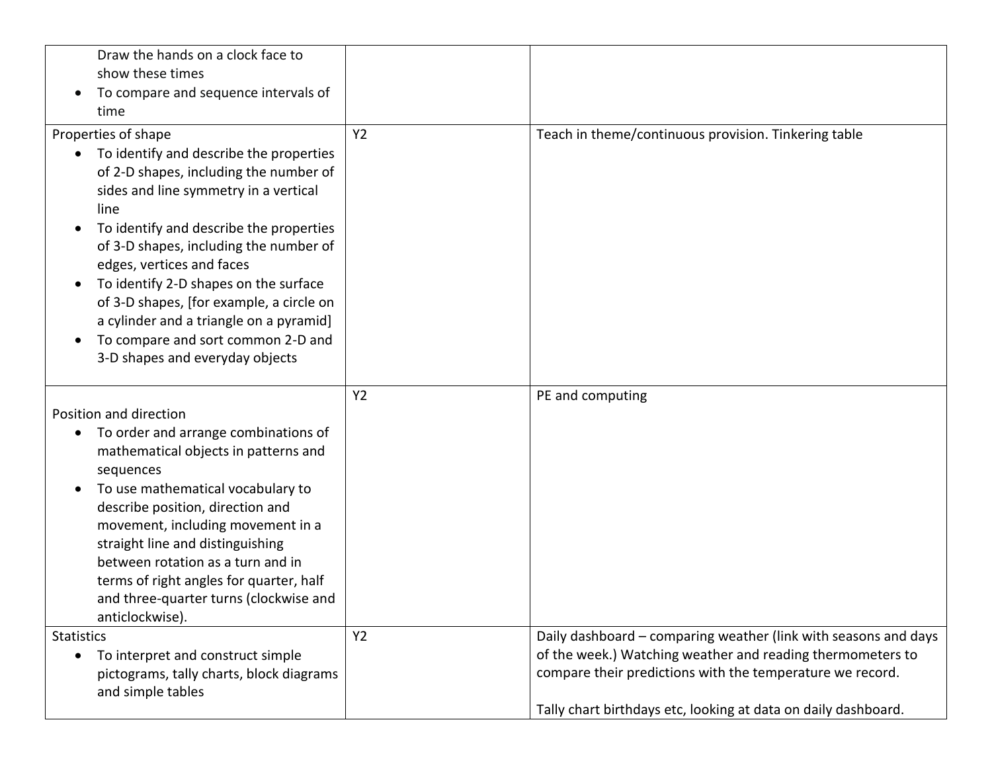| Draw the hands on a clock face to<br>show these times<br>To compare and sequence intervals of<br>time                                                                                                                                                                                                                                                                                                                                                                                |                |                                                                                                                                                                                                                                                              |
|--------------------------------------------------------------------------------------------------------------------------------------------------------------------------------------------------------------------------------------------------------------------------------------------------------------------------------------------------------------------------------------------------------------------------------------------------------------------------------------|----------------|--------------------------------------------------------------------------------------------------------------------------------------------------------------------------------------------------------------------------------------------------------------|
| Properties of shape<br>To identify and describe the properties<br>of 2-D shapes, including the number of<br>sides and line symmetry in a vertical<br>line<br>To identify and describe the properties<br>of 3-D shapes, including the number of<br>edges, vertices and faces<br>To identify 2-D shapes on the surface<br>of 3-D shapes, [for example, a circle on<br>a cylinder and a triangle on a pyramid]<br>To compare and sort common 2-D and<br>3-D shapes and everyday objects | Y <sub>2</sub> | Teach in theme/continuous provision. Tinkering table                                                                                                                                                                                                         |
| Position and direction<br>To order and arrange combinations of<br>$\bullet$<br>mathematical objects in patterns and<br>sequences<br>To use mathematical vocabulary to<br>describe position, direction and<br>movement, including movement in a<br>straight line and distinguishing<br>between rotation as a turn and in<br>terms of right angles for quarter, half<br>and three-quarter turns (clockwise and<br>anticlockwise).                                                      | <b>Y2</b>      | PE and computing                                                                                                                                                                                                                                             |
| <b>Statistics</b><br>To interpret and construct simple<br>pictograms, tally charts, block diagrams<br>and simple tables                                                                                                                                                                                                                                                                                                                                                              | <b>Y2</b>      | Daily dashboard - comparing weather (link with seasons and days<br>of the week.) Watching weather and reading thermometers to<br>compare their predictions with the temperature we record.<br>Tally chart birthdays etc, looking at data on daily dashboard. |